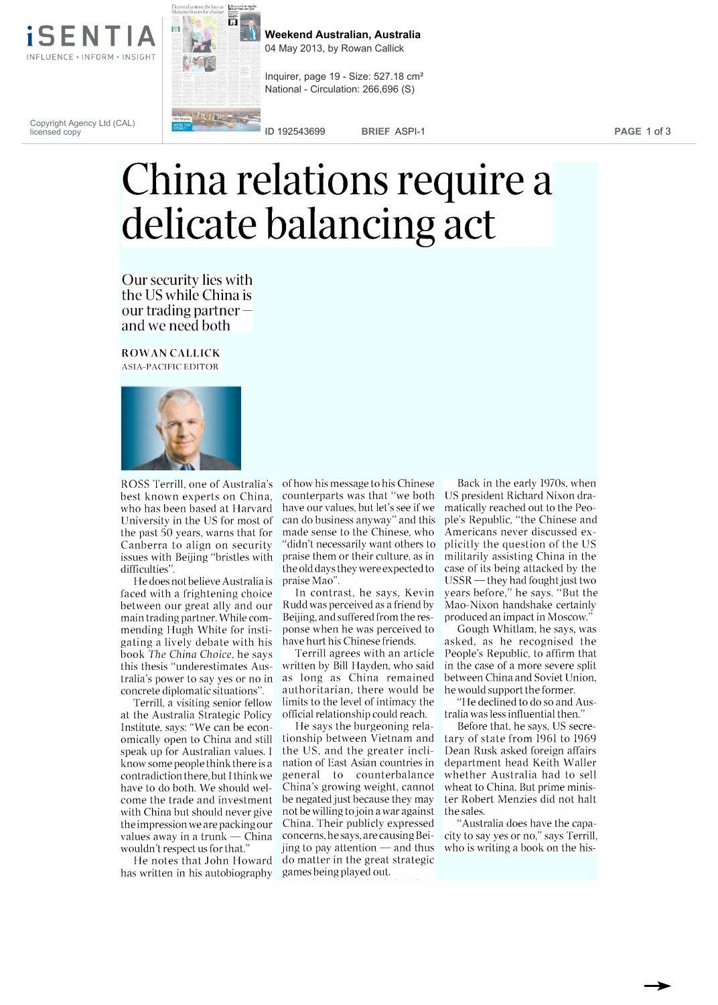

नि

**Weekend Australian, Australia** 04 May 2013, by Rowan Callick

Inquirer, page 19 - Size: 527.18 cm² National - Circulation: 266,696 (S)

Copyright Agency Ltd (CAL) licensed copy

**ID** 192543699 **BRIEF** ASPI-1 **PAGE** 1 of 3

## China relations require a delicate balancing act

Our security lies with the US while China is our trading partner  $$ and we need both

ROWAN CALLICK ASIA-PACIFIC EDITOR



ROSS Terrill, one of Australia's best known experts on China, who has been based at Harvard University in the US for most of the past 50 years, warns that for Canberra to align on security issues with Beijing "bristles with difficulties".

He does not believe Australia is faced with a frightening choice between our great ally and our main trading partner. While commending Hugh White for instigating a lively debate with his book The China Choice, he says this thesis "underestimates Australia's power to say yes or no in concrete diplomatic situations".

Terrill, a visiting senior fellow at the Australia Strategic Policy Institute, says: "We can be economically open to China and still speak up for Australian values. I know some people think there is a contradiction there, but I think we have to do both. We should welcome the trade and investment with China but should never give the impression we are packing our values away in a trunk  $-$  China wouldn't respect us for that."

He notes that John Howard has written in his autobiography games being played out.

of how his message to his Chinese counterparts was that "we both have our values, but let's see if we can do business anyway" and this made sense to the Chinese, who "didn't necessarily want others to praise them or their culture, as in the old days they were expected to praise Mao".

In contrast, he says, Kevin Rudd was perceived as a friend by Beijing, and suffered from the response when he was perceived to have hurt his Chinese friends.

Terrill agrees with an article written by Bill Hayden, who said as long as China remained authoritarian, there would be limits to the level of intimacy the official relationship could reach.

He says the burgeoning relationship between Vietnam and the US, and the greater inclination of East Asian countries in general to counterbalance China's growing weight, cannot be negated just because they may not be willing to join a war against China. Their publicly expressed concerns, he says, are causing Beijing to pay attention  $-$  and thus do matter in the great strategic

Back in the early 1970s, when US president Richard Nixon dramatically reached out to the People's Republic, "the Chinese and Americans never discussed explicitly the question of the US militarily assisting China in the case of its being attacked by the  $USSR$  -they had fought just two years before," he says. "But the Mao-Nixon handshake certainly produced an impact in Moscow."

Gough Whitlam, he says, was asked, as he recognised the People's Republic, to affirm that in the case of a more severe split between China and Soviet Union, he would support the former.

"He declined to do so and Australia was less influential then."

Before that, he says, US secretary of state from 1961 to 1969 Dean Rusk asked foreign affairs department head Keith Waller whether Australia had to sell wheat to China. But prime minister Robert Menzies did not halt the sales.

"Australia does have the capacity to say yes or no," says Terrill, who is writing a book on the his-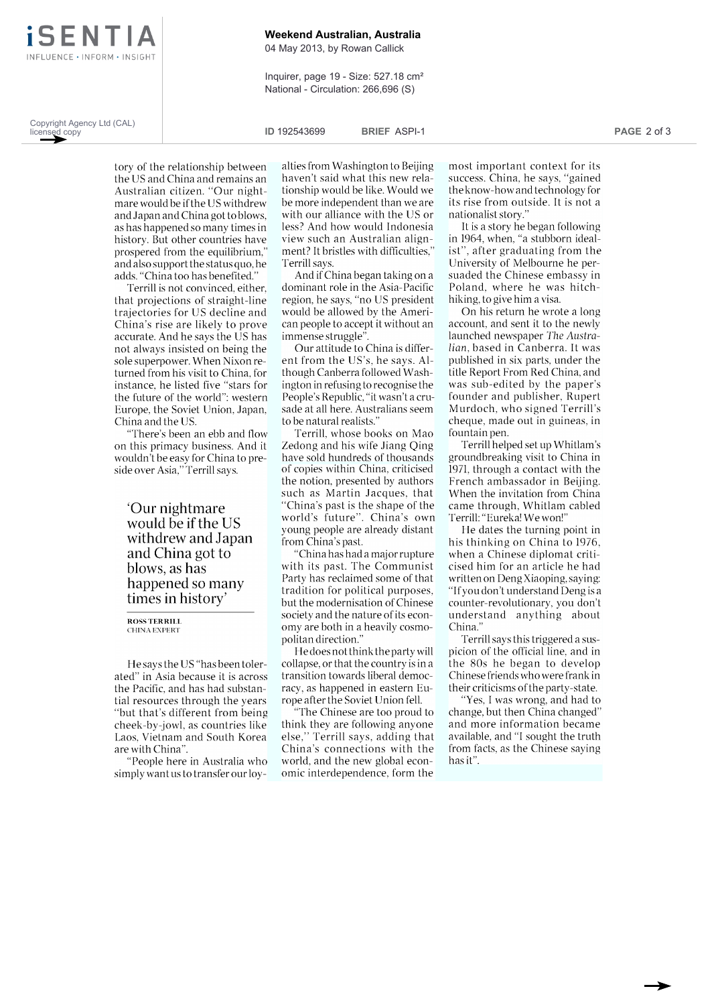

**Weekend Australian, Australia**

04 May 2013, by Rowan Callick

Inquirer, page 19 - Size: 527.18 cm² National - Circulation: 266,696 (S)

Copyright Agency Ltd (CAL) licensed copy

**ID** 192543699 **BRIEF** ASPI-1 **PAGE** 2 of 3

tory of the relationship between the US and China and remains an Australian citizen. "Our nightmare would be if the US withdrew and Japan and China got to blows, as has happened so many times in history. But other countries have prospered from the equilibrium," and also support the status quo, he adds. "China too has benefited."

Terrill is not convinced, either, that projections of straight-line trajectories for US decline and China's rise are likely to prove accurate. And he says the US has not always insisted on being the sole superpower. When Nixon returned from his visit to China, for instance, he listed five "stars for the future of the world": western Europe, the Soviet Union, Japan, China and the US.

"There's been an ebb and flow on this primacy business. And it wouldn't be easy for China to preside over Asia," Terrill says.

`Our nightmare would be if the US withdrew and Japan and China got to blows, as has happened so many times in history'

ROSS TERRILL CHINA EXPERT

He says the US "has been tolerated" in Asia because it is across the Pacific, and has had substantial resources through the years "but that's different from being cheek-by-jowl, as countries like Laos, Vietnam and South Korea are with China".

"People here in Australia who simply want us to transfer our loyalties from Washington to Beijing haven't said what this new relationship would be like. Would we be more independent than we are with our alliance with the US or less? And how would Indonesia view such an Australian alignment? It bristles with difficulties," Terrill says.

And if China began taking on a dominant role in the Asia-Pacific region, he says, "no US president would be allowed by the American people to accept it without an immense struggle".

Our attitude to China is different from the US's, he says. Although Canberra followed Washington in refusing to recognise the People's Republic, "it wasn't a crusade at all here. Australians seem to be natural realists."

Terrill, whose books on Mao Zedong and his wife Jiang Qing have sold hundreds of thousands of copies within China, criticised the notion, presented by authors such as Martin Jacques, that "China's past is the shape of the world's future". China's own young people are already distant from China's past.

"China has had a major rupture with its past. The Communist Party has reclaimed some of that but the modernisation of Chinese society and the nature of its economy are both in a heavily cosmopolitan direction."

He does not think the party will collapse, or that the country is in a transition towards liberal democracy, as happened in eastern Europe after the Soviet Union fell.

"The Chinese are too proud to think they are following anyone else," Terrill says, adding that China's connections with the world, and the new global economic interdependence, form the

most important context for its success. China, he says, "gained the know-how and technology for its rise from outside. It is not a nationalist story."

It is a story he began following in 1964, when, "a stubborn idealist", after graduating from the University of Melbourne he persuaded the Chinese embassy in Poland, where he was hitchhiking, to give him a visa.

On his return he wrote a long account, and sent it to the newly launched newspaper The Australian, based in Canberra. It was published in six parts, under the title Report From Red China, and was sub-edited by the paper's founder and publisher, Rupert Murdoch, who signed Terrill's cheque, made out in guineas, in fountain pen.

Terrill helped set up Whitlam's groundbreaking visit to China in 1971, through a contact with the French ambassador in Beijing. When the invitation from China came through, Whitlam cabled Terrill: "Eureka! We won!"

tradition for political purposes, "If you don't understand Deng is a but the modernisation of Chinese counter-revolutionary, you don't He dates the turning point in his thinking on China to 1976, when a Chinese diplomat criticised him for an article he had written on Deng Xiaoping, saying: "If you don't understand Deng is a understand anything about China.

> Terrill says this triggered a suspicion of the official line, and in the 80s he began to develop Chinese friends who were frank in their criticisms of the party-state.

> "Yes, I was wrong, and had to change, but then China changed" and more information became available, and "I sought the truth from facts, as the Chinese saying has it".